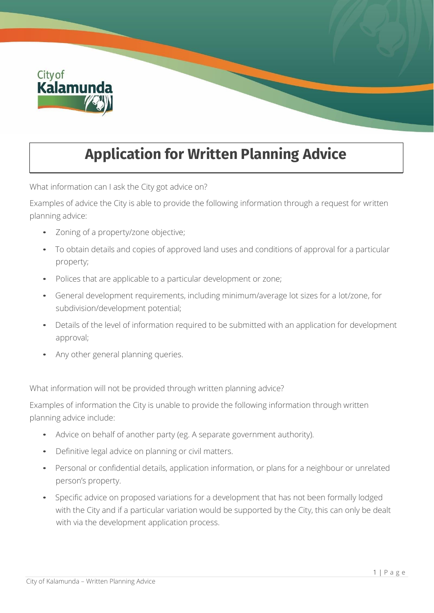

## **Application for Written Planning Advice**

What information can I ask the City got advice on?

Examples of advice the City is able to provide the following information through a request for written planning advice:

- Zoning of a property/zone objective;
- To obtain details and copies of approved land uses and conditions of approval for a particular property;
- Polices that are applicable to a particular development or zone;
- General development requirements, including minimum/average lot sizes for a lot/zone, for subdivision/development potential;
- Details of the level of information required to be submitted with an application for development approval;
- Any other general planning queries.

What information will not be provided through written planning advice?

Examples of information the City is unable to provide the following information through written planning advice include:

- Advice on behalf of another party (eg. A separate government authority).
- Definitive legal advice on planning or civil matters.
- Personal or confidential details, application information, or plans for a neighbour or unrelated person's property.
- Specific advice on proposed variations for a development that has not been formally lodged with the City and if a particular variation would be supported by the City, this can only be dealt with via the development application process.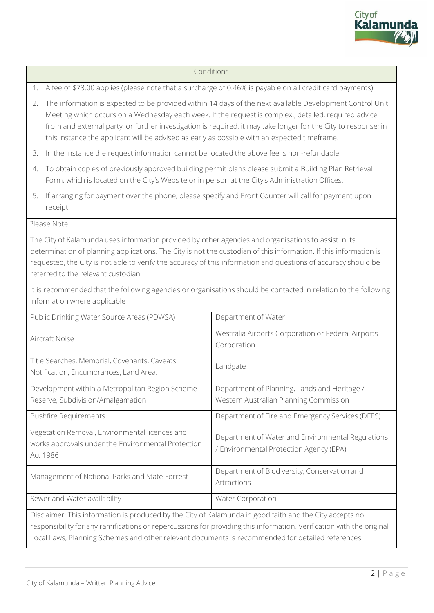

## Conditions

1. A fee of \$73.00 applies (please note that a surcharge of 0.46% is payable on all credit card payments)

- 2. The information is expected to be provided within 14 days of the next available Development Control Unit Meeting which occurs on a Wednesday each week. If the request is complex., detailed, required advice from and external party, or further investigation is required, it may take longer for the City to response; in this instance the applicant will be advised as early as possible with an expected timeframe.
- 3. In the instance the request information cannot be located the above fee is non-refundable.
- 4. To obtain copies of previously approved building permit plans please submit a Building Plan Retrieval Form, which is located on the City's Website or in person at the City's Administration Offices.
- 5. If arranging for payment over the phone, please specify and Front Counter will call for payment upon receipt.

## Please Note

The City of Kalamunda uses information provided by other agencies and organisations to assist in its determination of planning applications. The City is not the custodian of this information. If this information is requested, the City is not able to verify the accuracy of this information and questions of accuracy should be referred to the relevant custodian

It is recommended that the following agencies or organisations should be contacted in relation to the following information where applicable

| Public Drinking Water Source Areas (PDWSA)                                                                       | Department of Water                                                                          |  |  |  |
|------------------------------------------------------------------------------------------------------------------|----------------------------------------------------------------------------------------------|--|--|--|
| Aircraft Noise                                                                                                   | Westralia Airports Corporation or Federal Airports<br>Corporation                            |  |  |  |
| Title Searches, Memorial, Covenants, Caveats<br>Notification, Encumbrances, Land Area.                           | Landgate                                                                                     |  |  |  |
| Development within a Metropolitan Region Scheme                                                                  | Department of Planning, Lands and Heritage /                                                 |  |  |  |
| Reserve, Subdivision/Amalgamation                                                                                | Western Australian Planning Commission                                                       |  |  |  |
| <b>Bushfire Requirements</b>                                                                                     | Department of Fire and Emergency Services (DFES)                                             |  |  |  |
| Vegetation Removal, Environmental licences and<br>works approvals under the Environmental Protection<br>Act 1986 | Department of Water and Environmental Regulations<br>/ Environmental Protection Agency (EPA) |  |  |  |
| Management of National Parks and State Forrest                                                                   | Department of Biodiversity, Conservation and<br>Attractions                                  |  |  |  |
| Sewer and Water availability                                                                                     | <b>Water Corporation</b>                                                                     |  |  |  |
| Disclaimer: This information is produced by the City of Kalamunda in good faith and the City accepts no          |                                                                                              |  |  |  |

responsibility for any ramifications or repercussions for providing this information. Verification with the original Local Laws, Planning Schemes and other relevant documents is recommended for detailed references.